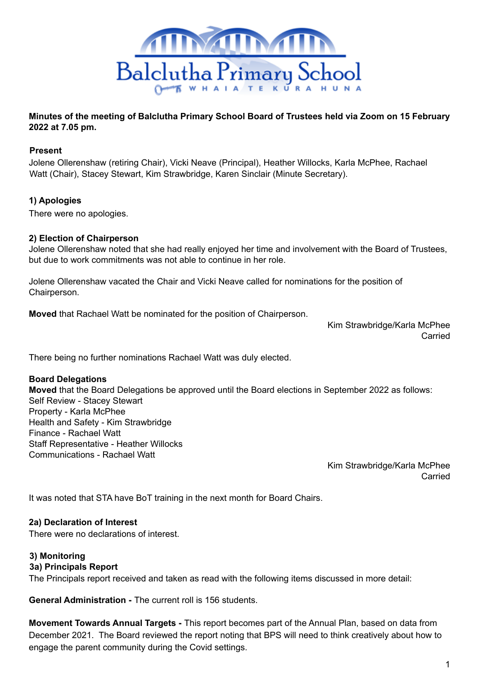

# **Minutes of the meeting of Balclutha Primary School Board of Trustees held via Zoom on 15 February 2022 at 7.05 pm.**

## **Present**

Jolene Ollerenshaw (retiring Chair), Vicki Neave (Principal), Heather Willocks, Karla McPhee, Rachael Watt (Chair), Stacey Stewart, Kim Strawbridge, Karen Sinclair (Minute Secretary).

# **1) Apologies**

There were no apologies.

### **2) Election of Chairperson**

Jolene Ollerenshaw noted that she had really enjoyed her time and involvement with the Board of Trustees, but due to work commitments was not able to continue in her role.

Jolene Ollerenshaw vacated the Chair and Vicki Neave called for nominations for the position of Chairperson.

**Moved** that Rachael Watt be nominated for the position of Chairperson.

Kim Strawbridge/Karla McPhee Carried

There being no further nominations Rachael Watt was duly elected.

### **Board Delegations**

**Moved** that the Board Delegations be approved until the Board elections in September 2022 as follows: Self Review - Stacey Stewart Property - Karla McPhee Health and Safety - Kim Strawbridge Finance - Rachael Watt Staff Representative - Heather Willocks Communications - Rachael Watt

> Kim Strawbridge/Karla McPhee Carried

It was noted that STA have BoT training in the next month for Board Chairs.

### **2a) Declaration of Interest**

There were no declarations of interest.

### **3) Monitoring**

### **3a) Principals Report**

The Principals report received and taken as read with the following items discussed in more detail:

**General Administration -** The current roll is 156 students.

**Movement Towards Annual Targets -** This report becomes part of the Annual Plan, based on data from December 2021. The Board reviewed the report noting that BPS will need to think creatively about how to engage the parent community during the Covid settings.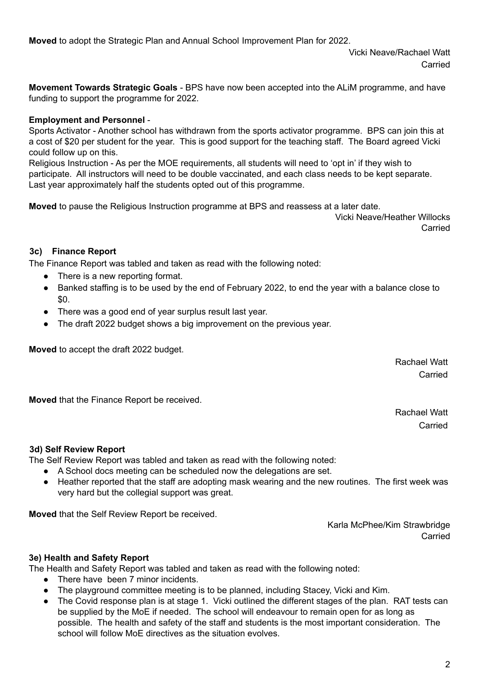**Moved** to adopt the Strategic Plan and Annual School Improvement Plan for 2022.

Vicki Neave/Rachael Watt Carried

**Movement Towards Strategic Goals** - BPS have now been accepted into the ALiM programme, and have funding to support the programme for 2022.

# **Employment and Personnel** -

Sports Activator - Another school has withdrawn from the sports activator programme. BPS can join this at a cost of \$20 per student for the year. This is good support for the teaching staff. The Board agreed Vicki could follow up on this.

Religious Instruction - As per the MOE requirements, all students will need to 'opt in' if they wish to participate. All instructors will need to be double vaccinated, and each class needs to be kept separate. Last year approximately half the students opted out of this programme.

**Moved** to pause the Religious Instruction programme at BPS and reassess at a later date.

Vicki Neave/Heather Willocks Carried

## **3c) Finance Report**

The Finance Report was tabled and taken as read with the following noted:

- There is a new reporting format.
- Banked staffing is to be used by the end of February 2022, to end the year with a balance close to \$0.
- There was a good end of year surplus result last year.
- The draft 2022 budget shows a big improvement on the previous year.

**Moved** to accept the draft 2022 budget.

Rachael Watt Carried

**Moved** that the Finance Report be received.

Rachael Watt Carried

### **3d) Self Review Report**

The Self Review Report was tabled and taken as read with the following noted:

- A School docs meeting can be scheduled now the delegations are set.
- Heather reported that the staff are adopting mask wearing and the new routines. The first week was very hard but the collegial support was great.

**Moved** that the Self Review Report be received.

Karla McPhee/Kim Strawbridge Carried

### **3e) Health and Safety Report**

The Health and Safety Report was tabled and taken as read with the following noted:

- There have been 7 minor incidents.
- The playground committee meeting is to be planned, including Stacey, Vicki and Kim.
- The Covid response plan is at stage 1. Vicki outlined the different stages of the plan. RAT tests can be supplied by the MoE if needed. The school will endeavour to remain open for as long as possible. The health and safety of the staff and students is the most important consideration. The school will follow MoE directives as the situation evolves.